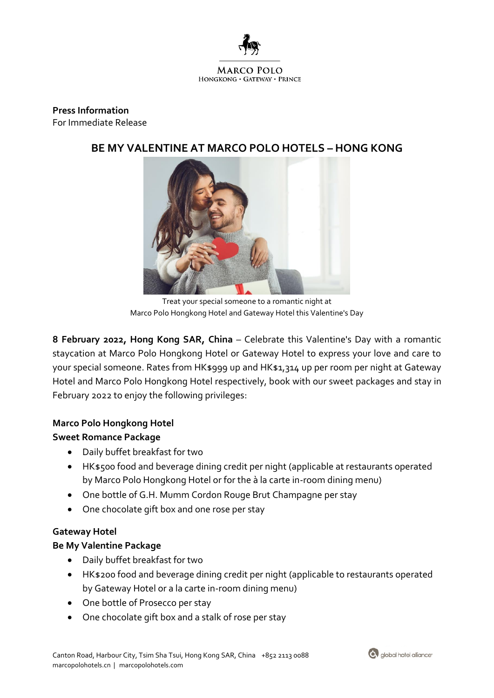

## **Press Information** For Immediate Release

# **BE MY VALENTINE AT MARCO POLO HOTELS – HONG KONG**



Treat your special someone to a romantic night at Marco Polo Hongkong Hotel and Gateway Hotel this Valentine's Day

**8 February 2022, Hong Kong SAR, China** *–* Celebrate this Valentine's Day with a romantic staycation at Marco Polo Hongkong Hotel or Gateway Hotel to express your love and care to your special someone. Rates from HK\$999 up and HK\$1,314 up per room per night at Gateway Hotel and Marco Polo Hongkong Hotel respectively, book with our sweet packages and stay in February 2022 to enjoy the following privileges:

## **Marco Polo Hongkong Hotel**

## **Sweet Romance Package**

- Daily buffet breakfast for two
- HK\$500 food and beverage dining credit per night (applicable at restaurants operated by Marco Polo Hongkong Hotel or for the à la carte in-room dining menu)
- One bottle of G.H. Mumm Cordon Rouge Brut Champagne per stay
- One chocolate gift box and one rose per stay

## **Gateway Hotel**

## **Be My Valentine Package**

- Daily buffet breakfast for two
- HK\$200 food and beverage dining credit per night (applicable to restaurants operated by Gateway Hotel or a la carte in-room dining menu)
- One bottle of Prosecco per stay
- One chocolate gift box and a stalk of rose per stay

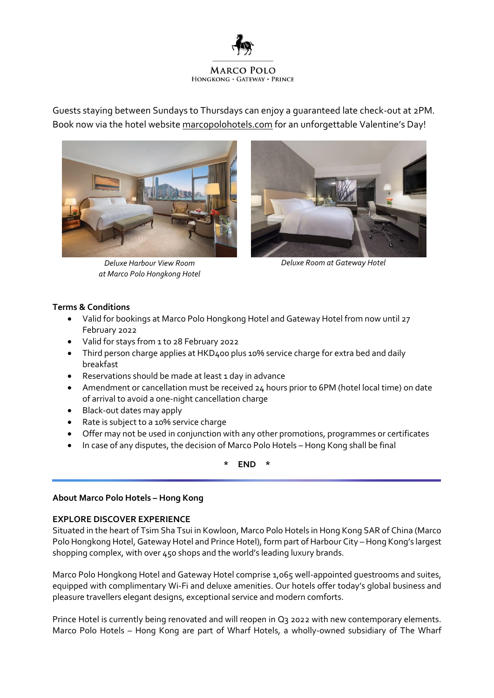

Guests staying between Sundays to Thursdays can enjoy a guaranteed late check-out at 2PM. Book now via the hotel website [marcopolohotels.com](https://www.marcopolohotels.com/en/marco_polo/hotels/hongkong/kowloon/marco_polo_hongkong/offers/be_my_valentine.html) for an unforgettable Valentine's Day!



*Deluxe Harbour View Room at Marco Polo Hongkong Hotel*



*Deluxe Room at Gateway Hotel*

## **Terms & Conditions**

- Valid for bookings at Marco Polo Hongkong Hotel and Gateway Hotel from now until 27 February 2022
- Valid for stays from 1 to 28 February 2022
- Third person charge applies at HKD400 plus 10% service charge for extra bed and daily breakfast
- Reservations should be made at least 1 day in advance
- Amendment or cancellation must be received 24 hours prior to 6PM (hotel local time) on date of arrival to avoid a one-night cancellation charge
- Black-out dates may apply
- Rate is subject to a 10% service charge
- Offer may not be used in conjunction with any other promotions, programmes or certificates
- In case of any disputes, the decision of Marco Polo Hotels Hong Kong shall be final

**\* END \***

### **About Marco Polo Hotels – Hong Kong**

### **EXPLORE DISCOVER EXPERIENCE**

Situated in the heart of Tsim Sha Tsui in Kowloon, Marco Polo Hotels in Hong Kong SAR of China (Marco Polo Hongkong Hotel, Gateway Hotel and Prince Hotel), form part of Harbour City – Hong Kong's largest shopping complex, with over 450 shops and the world's leading luxury brands.

Marco Polo Hongkong Hotel and Gateway Hotel comprise 1,065 well-appointed guestrooms and suites, equipped with complimentary Wi-Fi and deluxe amenities. Our hotels offer today's global business and pleasure travellers elegant designs, exceptional service and modern comforts.

Prince Hotel is currently being renovated and will reopen in Q3 2022 with new contemporary elements. Marco Polo Hotels – Hong Kong are part of Wharf Hotels, a wholly-owned subsidiary of The Wharf